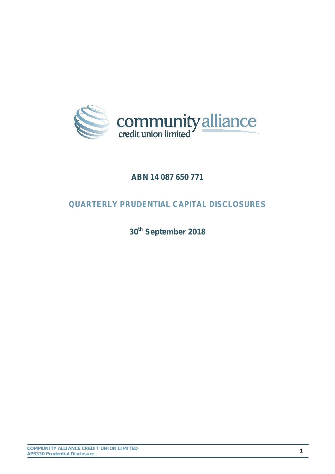

# **ABN 14 087 650 771**

# **QUARTERLY PRUDENTIAL CAPITAL DISCLOSURES**

**30th September 2018**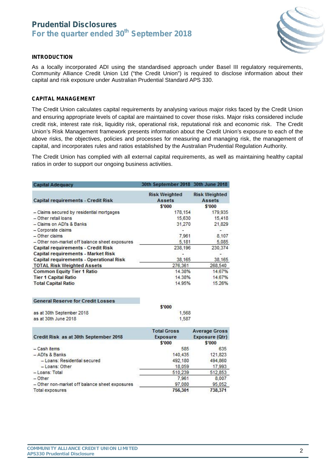### **Prudential Disclosures For the quarter ended 30th September 2018**



#### **INTRODUCTION**

As a locally incorporated ADI using the standardised approach under Basel III regulatory requirements, Community Alliance Credit Union Ltd ("the Credit Union") is required to disclose information about their capital and risk exposure under Australian Prudential Standard APS 330.

#### **CAPITAL MANAGEMENT**

The Credit Union calculates capital requirements by analysing various major risks faced by the Credit Union and ensuring appropriate levels of capital are maintained to cover those risks. Major risks considered include credit risk, interest rate risk, liquidity risk, operational risk, reputational risk and economic risk. The Credit Union's Risk Management framework presents information about the Credit Union's exposure to each of the above risks, the objectives, policies and processes for measuring and managing risk, the management of capital, and incorporates rules and ratios established by the Australian Prudential Regulation Authority.

The Credit Union has complied with all external capital requirements, as well as maintaining healthy capital ratios in order to support our ongoing business activities.

| <b>Capital Adequacy</b>                        | 30th September 2018 30th June 2018    |                                       |  |
|------------------------------------------------|---------------------------------------|---------------------------------------|--|
| <b>Capital requirements - Credit Risk</b>      | <b>Risk Weighted</b><br><b>Assets</b> | <b>Risk Weighted</b><br><b>Assets</b> |  |
|                                                | \$'000                                | \$'000                                |  |
| - Claims secured by residential mortgages      | 178,154                               | 179,935                               |  |
| - Other retail loans                           | 15,630                                | 15,418                                |  |
| - Claims on ADI's & Banks                      | 31,270                                | 21,829                                |  |
| - Corporate claims                             |                                       |                                       |  |
| $-$ Other claims                               | 7,961                                 | 8,107                                 |  |
| - Other non-market off balance sheet exposures | 5.181                                 | 5,085                                 |  |
| <b>Capital requirements - Credit Risk</b>      | 238,196                               | 230,374                               |  |
| <b>Capital requirements - Market Risk</b>      |                                       |                                       |  |
| Capital requirements - Operational Risk        | 38,165                                | 38,165                                |  |
| <b>TOTAL Risk Weighted Assets</b>              | 276,361                               | 268,540                               |  |
| <b>Common Equity Tier 1 Ratio</b>              | 14.38%                                | 14.67%                                |  |
| <b>Tier 1 Capital Ratio</b>                    | 14.38%                                | 14.67%                                |  |
| <b>Total Capital Ratio</b>                     | 14.95%                                | 15.26%                                |  |
| <b>General Reserve for Credit Losses</b>       |                                       |                                       |  |
|                                                | \$'000                                |                                       |  |
| as at 30th September 2018                      | 1,568                                 |                                       |  |
| as at 30th June 2018                           | 1.587                                 |                                       |  |
|                                                | <b>Total Gross</b>                    | <b>Average Gross</b>                  |  |
| Credit Risk as at 30th September 2018          | <b>Exposure</b>                       | Exposure (Qtr)                        |  |
|                                                | \$'000                                | \$'000                                |  |
| $-$ Cash items                                 | 585                                   | 635                                   |  |
| $-$ ADI's & Banks                              | 140,435                               | 121,823                               |  |
| - Loans: Residential secured                   | 492,180                               | 494,860                               |  |
| - Loans: Other                                 | 18,059                                | 17,993                                |  |
| - Loans: Total                                 | 510,239                               | 512,853                               |  |
| $-$ Other                                      | 7,961                                 | 8,007                                 |  |
| - Other non-market off balance sheet exposures | 97,080                                | 95,052                                |  |
| Total exposures                                | 756,301                               | 738,371                               |  |